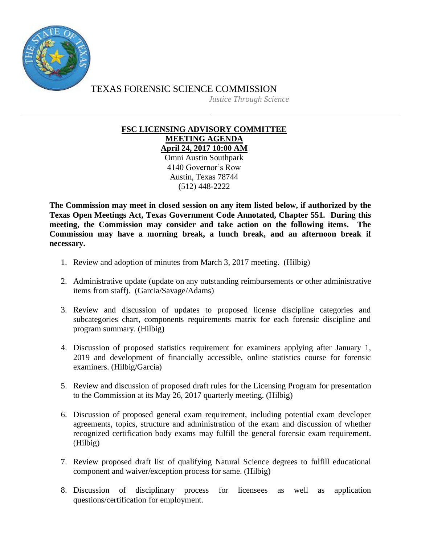

TEXAS FORENSIC SCIENCE COMMISSION

*Justice Through Science*

## **FSC LICENSING ADVISORY COMMITTEE MEETING AGENDA April 24, 2017 10:00 AM**

Omni Austin Southpark 4140 Governor's Row Austin, Texas 78744 (512) 448-2222

**The Commission may meet in closed session on any item listed below, if authorized by the Texas Open Meetings Act, Texas Government Code Annotated, Chapter 551. During this meeting, the Commission may consider and take action on the following items. The Commission may have a morning break, a lunch break, and an afternoon break if necessary.**

- 1. Review and adoption of minutes from March 3, 2017 meeting. (Hilbig)
- 2. Administrative update (update on any outstanding reimbursements or other administrative items from staff). (Garcia/Savage/Adams)
- 3. Review and discussion of updates to proposed license discipline categories and subcategories chart, components requirements matrix for each forensic discipline and program summary. (Hilbig)
- 4. Discussion of proposed statistics requirement for examiners applying after January 1, 2019 and development of financially accessible, online statistics course for forensic examiners. (Hilbig/Garcia)
- 5. Review and discussion of proposed draft rules for the Licensing Program for presentation to the Commission at its May 26, 2017 quarterly meeting. (Hilbig)
- 6. Discussion of proposed general exam requirement, including potential exam developer agreements, topics, structure and administration of the exam and discussion of whether recognized certification body exams may fulfill the general forensic exam requirement. (Hilbig)
- 7. Review proposed draft list of qualifying Natural Science degrees to fulfill educational component and waiver/exception process for same. (Hilbig)
- 8. Discussion of disciplinary process for licensees as well as application questions/certification for employment.